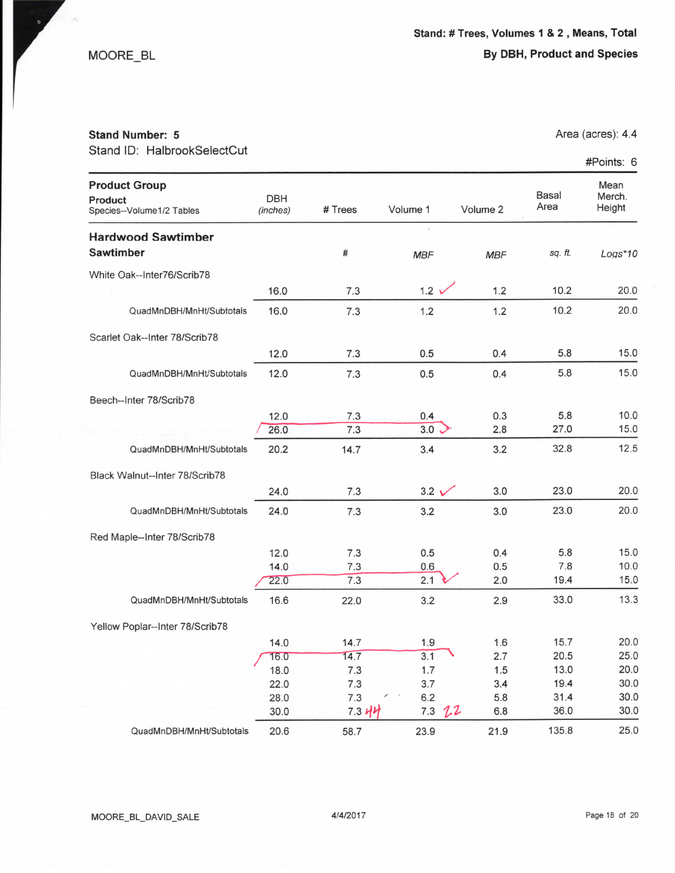MOORE\_BL

## By DBH, Product and Species

## Stand Number: 5

Stand ID: HalbrookSelectCut

Area (acres): 4.4

#Points: 6

| <b>Product Group</b><br>Product<br>Species--Volume1/2 Tables | DBH<br>(inches) | # Trees    | Volume 1       | Volume 2   | Basal<br>Area | Mean<br>Merch.<br>Height |
|--------------------------------------------------------------|-----------------|------------|----------------|------------|---------------|--------------------------|
| <b>Hardwood Sawtimber</b>                                    |                 |            |                |            |               |                          |
| <b>Sawtimber</b>                                             |                 | #          | <b>MBF</b>     | <b>MBF</b> | sq. ft.       | $Logs*10$                |
| White Oak--Inter76/Scrib78                                   |                 |            |                |            |               |                          |
|                                                              | 16.0            | 7.3        | $1.2 \times$   | 1.2        | 10.2          | 20.0                     |
| QuadMnDBH/MnHt/Subtotals                                     | 16.0            | 7.3        | 1.2            | 1.2        | 10.2          | 20.0                     |
| Scarlet Oak--Inter 78/Scrib78                                |                 |            |                |            |               |                          |
|                                                              | 12.0            | 7.3        | 0.5            | 0.4        | 5.8           | 15.0                     |
| QuadMnDBH/MnHt/Subtotals                                     | 12.0            | 7.3        | 0.5            | 0.4        | 5.8           | 15.0                     |
| Beech--Inter 78/Scrib78                                      |                 |            |                |            |               |                          |
|                                                              | 12.0            | 7.3        | 0.4            | 0.3        | 5.8           | 10.0                     |
|                                                              | 26.0            | 7.3        | 3.0            | 2.8        | 27.0          | 15.0                     |
| QuadMnDBH/MnHt/Subtotals                                     | 20.2            | 14.7       | 3.4            | 3.2        | 32.8          | 12.5                     |
| Black Walnut--Inter 78/Scrib78                               |                 |            |                |            |               |                          |
|                                                              | 24.0            | 7.3        | $3.2 \sqrt{ }$ | 3.0        | 23.0          | 20.0                     |
| QuadMnDBH/MnHt/Subtotals                                     | 24.0            | 7.3        | 3.2            | 3.0        | 23.0          | 20.0                     |
| Red Maple--Inter 78/Scrib78                                  |                 |            |                |            |               |                          |
|                                                              | 12.0            | 7.3        | 0.5            | 0.4        | 5.8           | 15.0                     |
|                                                              | 14.0            | 7.3        | 0.6            | 0.5        | 7.8           | 10.0                     |
|                                                              | 22.0            | 7.3        | 2.1            | 2.0        | 19.4          | 15.0                     |
| QuadMnDBH/MnHt/Subtotals                                     | 16.6            | 22.0       | 3.2            | 2.9        | 33.0          | 13.3                     |
| Yellow Poplar--Inter 78/Scrib78                              |                 |            |                |            |               |                          |
|                                                              | 14.0            | 14.7       | 1.9            | 1.6        | 15.7          | 20.0                     |
|                                                              | 16.0            | 14.7       | 3.1            | 2.7        | 20.5          | 25.0                     |
|                                                              | 18.0            | 7.3        | 1.7            | 1.5        | 13.0          | 20.0                     |
|                                                              | 22.0            | 7.3        | 3.7            | 3.4        | 19.4          | 30.0                     |
|                                                              | 28.0            | 7.3        | 6.2            | 5.8        | 31.4          | 30.0                     |
|                                                              | 30.0            | $7.3$ $44$ | 7.3<br>22      | 6.8        | 36.0          | 30.0                     |
| QuadMnDBH/MnHt/Subtotals                                     | 20.6            | 58.7       | 23.9           | 21.9       | 135.8         | 25.0                     |